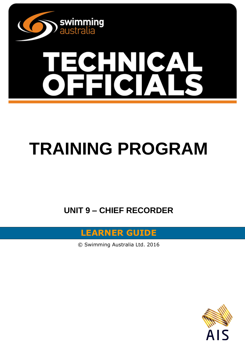

# **TRAINING PROGRAM**

**UNIT 9 – CHIEF RECORDER**

### **LEARNER GUIDE**

© Swimming Australia Ltd. 2016

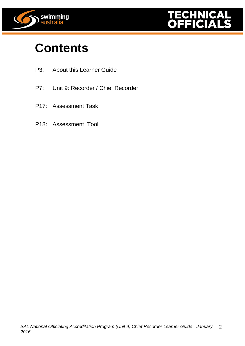



## **Contents**

- P3: About this Learner Guide
- P7: Unit 9: Recorder / Chief Recorder
- P17: Assessment Task
- P18: Assessment Tool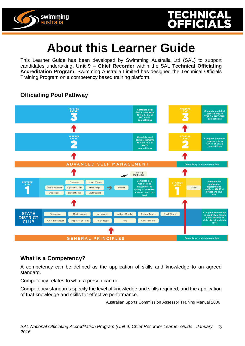

### **About this Learner Guide**

This Learner Guide has been developed by Swimming Australia Ltd (SAL) to support candidates undertaking**, Unit 9** – **Chief Recorder** within the SAL **Technical Officiating Accreditation Program**. Swimming Australia Limited has designed the Technical Officials Training Program on a competency based training platform.

### **Officiating Pool Pathway**



### **What is a Competency?**

A competency can be defined as the application of skills and knowledge to an agreed standard.

Competency relates to what a person can do.

Competency standards specify the level of knowledge and skills required, and the application of that knowledge and skills for effective performance.

Australian Sports Commission Assessor Training Manual 2006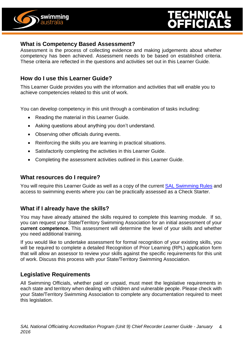



### **What is Competency Based Assessment?**

Assessment is the process of collecting evidence and making judgements about whether competency has been achieved. Assessment needs to be based on established criteria. These criteria are reflected in the questions and activities set out in this Learner Guide.

### **How do I use this Learner Guide?**

This Learner Guide provides you with the information and activities that will enable you to achieve competencies related to this unit of work.

You can develop competency in this unit through a combination of tasks including:

- Reading the material in this Learner Guide.
- Asking questions about anything you don't understand.
- Observing other officials during events.
- Reinforcing the skills you are learning in practical situations.
- Satisfactorily completing the activities in this Learner Guide.
- Completing the assessment activities outlined in this Learner Guide.

### **What resources do I require?**

You will require this Learner Guide as well as a copy of the current [SAL Swimming Rules](http://www.swimming.org.au/visageimages/1_SAL/Rules/SAL%20Swimming%20Rules%20%20JAN%202014%20updated%2005.02.15.pdf) and access to swimming events where you can be practically assessed as a Check Starter.

### **What if I already have the skills?**

You may have already attained the skills required to complete this learning module. If so, you can request your State/Territory Swimming Association for an initial assessment of your **current competence.** This assessment will determine the level of your skills and whether you need additional training.

If you would like to undertake assessment for formal recognition of your existing skills, you will be required to complete a detailed Recognition of Prior Learning (RPL) application form that will allow an assessor to review your skills against the specific requirements for this unit of work. Discuss this process with your State/Territory Swimming Association.

### **Legislative Requirements**

All Swimming Officials, whether paid or unpaid, must meet the legislative requirements in each state and territory when dealing with children and vulnerable people. Please check with your State/Territory Swimming Association to complete any documentation required to meet this legislation.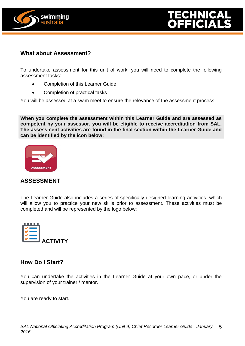



### **What about Assessment?**

To undertake assessment for this unit of work, you will need to complete the following assessment tasks:

- Completion of this Learner Guide
- Completion of practical tasks

You will be assessed at a swim meet to ensure the relevance of the assessment process.

**When you complete the assessment within this Learner Guide and are assessed as competent by your assessor, you will be eligible to receive accreditation from SAL. The assessment activities are found in the final section within the Learner Guide and can be identified by the icon below:**



### **ASSESSMENT**

The Learner Guide also includes a series of specifically designed learning activities, which will allow you to practice your new skills prior to assessment. These activities must be completed and will be represented by the logo below:



### **How Do I Start?**

You can undertake the activities in the Learner Guide at your own pace, or under the supervision of your trainer / mentor.

You are ready to start.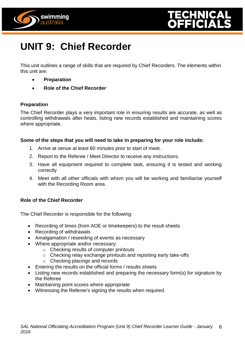



### **UNIT 9: Chief Recorder**

This unit outlines a range of skills that are required by Chief Recorders. The elements within this unit are:

- **Preparation**
- **Role of the Chief Recorder**

### **Preparation**

The Chief Recorder plays a very important role in ensuring results are accurate, as well as controlling withdrawals after heats, listing new records established and maintaining scores where appropriate.

### **Some of the steps that you will need to take in preparing for your role include:**

- 1. Arrive at venue at least 60 minutes prior to start of meet.
- 2. Report to the Referee / Meet Director to receive any instructions.
- 3. Have all equipment required to complete task, ensuring it is tested and working correctly
- 4. Meet with all other officials with whom you will be working and familiarise yourself with the Recording Room area.

### **Role of the Chief Recorder**

The Chief Recorder is responsible for the following:

- Recording of times (from AOE or timekeepers) to the result sheets
- Recording of withdrawals
- Amalgamation / reseeding of events as necessary
- Where appropriate and/or necessary;
	- o Checking results of computer printouts
	- o Checking relay exchange printouts and reporting early take-offs
	- o Checking placings and records
- Entering the results on the official forms / results sheets
- Listing new records established and preparing the necessary form(s) for signature by the Referee
- Maintaining point scores where appropriate
- Witnessing the Referee's signing the results when required.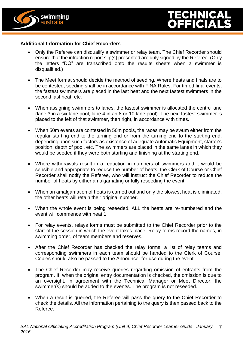



#### **Additional Information for Chief Recorders**

- Only the Referee can disqualify a swimmer or relay team. The Chief Recorder should ensure that the infraction report slip(s) presented are duly signed by the Referee. (Only the letters "DQ" are transcribed onto the results sheets when a swimmer is disqualified.)
- The Meet format should decide the method of seeding. Where heats and finals are to be contested, seeding shall be in accordance with FINA Rules. For timed final events, the fastest swimmers are placed in the last heat and the next fastest swimmers in the second last heat, etc.
- When assigning swimmers to lanes, the fastest swimmer is allocated the centre lane (lane 3 in a six lane pool, lane 4 in an 8 or 10 lane pool). The next fastest swimmer is placed to the left of that swimmer, then right, in accordance with times.
- When 50m events are contested in 50m pools, the races may be swum either from the regular starting end to the turning end or from the turning end to the starting end, depending upon such factors as existence of adequate Automatic Equipment, starter's position, depth of pool, etc. The swimmers are placed in the same lanes in which they would be seeded if they were both starting and finishing at the starting end.
- Where withdrawals result in a reduction in numbers of swimmers and it would be sensible and appropriate to reduce the number of heats, the Clerk of Course or Chief Recorder shall notify the Referee, who will instruct the Chief Recorder to reduce the number of heats by either amalgamating or fully reseeding the event.
- When an amalgamation of heats is carried out and only the slowest heat is eliminated, the other heats will retain their original number.
- When the whole event is being reseeded, ALL the heats are re-numbered and the event will commence with heat 1.
- For relay events, relays forms must be submitted to the Chief Recorder prior to the start of the session in which the event takes place. Relay forms record the names, in swimming order, of team members and reserves.
- After the Chief Recorder has checked the relay forms, a list of relay teams and corresponding swimmers in each team should be handed to the Clerk of Course. Copies should also be passed to the Announcer for use during the event.
- The Chief Recorder may receive queries regarding omission of entrants from the program. If, when the original entry documentation is checked, the omission is due to an oversight, in agreement with the Technical Manager or Meet Director, the swimmer(s) should be added to the event/s. The program is not reseeded.
- When a result is queried, the Referee will pass the query to the Chief Recorder to check the details. All the information pertaining to the query is then passed back to the Referee.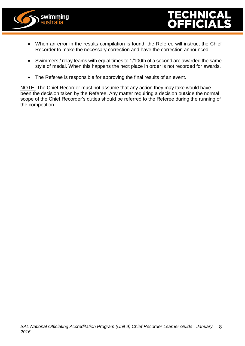



- When an error in the results compilation is found, the Referee will instruct the Chief Recorder to make the necessary correction and have the correction announced.
- Swimmers / relay teams with equal times to 1/100th of a second are awarded the same style of medal. When this happens the next place in order is not recorded for awards.
- The Referee is responsible for approving the final results of an event.

NOTE: The Chief Recorder must not assume that any action they may take would have been the decision taken by the Referee. Any matter requiring a decision outside the normal scope of the Chief Recorder's duties should be referred to the Referee during the running of the competition.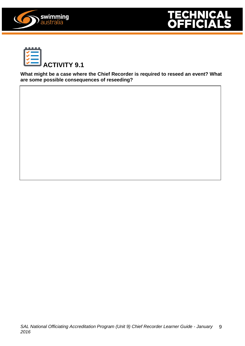





**What might be a case where the Chief Recorder is required to reseed an event? What are some possible consequences of reseeding?**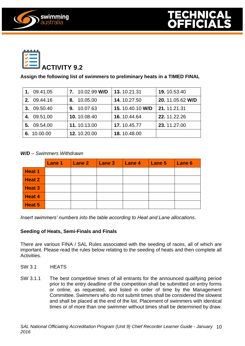





### **Assign the following list of swimmers to preliminary heats in a TIMED FINAL**

| 09.41.05    | 7. 10.02.99 W/D | 13.10.21.31     | 19.10.53.40     |
|-------------|-----------------|-----------------|-----------------|
| 2. 09.44.16 | 10.05.00<br>8.  | 14.10.27.50     | 20.11.05.62 W/D |
| 3. 09.50.40 | 9. 10.07.63     | 15.10.40.10 W/D | 21.11.21.31     |
| 4. 09.51.00 | 10.10.08.40     | 16.10.44.64     | 22.11.22.26     |
| 5. 09.54.00 | 11.10.13.00     | 17.10.45.77     | 23. 11.27.00    |
| 6. 10.00.00 | 12.10.20.00     | 18.10.48.00     |                 |

#### *W/D – Swimmers Withdrawn*

|               | Lane 1 | Lane 2 | $ $ Lane 3 | Lane 4 | Lane 5 | <b>Lane 6</b> |
|---------------|--------|--------|------------|--------|--------|---------------|
| <b>Heat 1</b> |        |        |            |        |        |               |
| <b>Heat 2</b> |        |        |            |        |        |               |
| Heat 3        |        |        |            |        |        |               |
| Heat 4        |        |        |            |        |        |               |
| Heat 5        |        |        |            |        |        |               |

*Insert swimmers' numbers into the table according to Heat and Lane allocations*.

#### **Seeding of Heats, Semi-Finals and Finals**

There are various FINA / SAL Rules associated with the seeding of races, all of which are important. Please read the rules below relating to the seeding of heats and then complete all Activities.

- SW 3.1 HEATS
- SW 3.1.1 The best competitive times of all entrants for the announced qualifying period prior to the entry deadline of the competition shall be submitted on entry forms or online, as requested, and listed in order of time by the Management Committee. Swimmers who do not submit times shall be considered the slowest and shall be placed at the end of the list. Placement of swimmers with identical times or of more than one swimmer without times shall be determined by draw.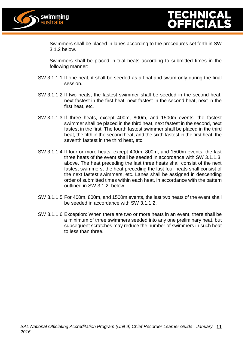

Swimmers shall be placed in lanes according to the procedures set forth in SW 3.1.2 below.

Swimmers shall be placed in trial heats according to submitted times in the following manner:

- SW 3.1.1.1 If one heat, it shall be seeded as a final and swum only during the final session.
- SW 3.1.1.2 If two heats, the fastest swimmer shall be seeded in the second heat, next fastest in the first heat, next fastest in the second heat, next in the first heat, etc.
- SW 3.1.1.3 If three heats, except 400m, 800m, and 1500m events, the fastest swimmer shall be placed in the third heat, next fastest in the second, next fastest in the first. The fourth fastest swimmer shall be placed in the third heat, the fifth in the second heat, and the sixth fastest in the first heat, the seventh fastest in the third heat, etc.
- SW 3.1.1.4 If four or more heats, except 400m, 800m, and 1500m events, the last three heats of the event shall be seeded in accordance with SW 3.1.1.3. above. The heat preceding the last three heats shall consist of the next fastest swimmers; the heat preceding the last four heats shall consist of the next fastest swimmers, etc. Lanes shall be assigned in descending order of submitted times within each heat, in accordance with the pattern outlined in SW 3.1.2. below.
- SW 3.1.1.5 For 400m, 800m, and 1500m events, the last two heats of the event shall be seeded in accordance with SW 3.1.1.2.
- SW 3.1.1.6 Exception: When there are two or more heats in an event, there shall be a minimum of three swimmers seeded into any one preliminary heat, but subsequent scratches may reduce the number of swimmers in such heat to less than three.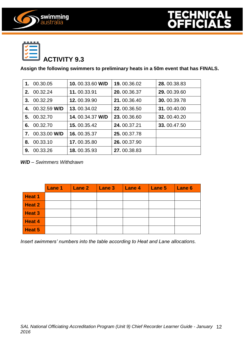





## **ACTIVITY 9.3**

**Assign the following swimmers to preliminary heats in a 50m event that has FINALS.**

| 1. | 00.30.05     | 10.00.33.60 W/D | 19.00.36.02  | 28.00.38.83  |
|----|--------------|-----------------|--------------|--------------|
| 2. | 00.32.24     | 11, 00.33.91    | 20, 00.36.37 | 29, 00.39.60 |
| 3. | 00.32.29     | 12, 00.39.90    | 21, 00.36.40 | 30.00.39.78  |
| 4. | 00.32.59 W/D | 13.00.34.02     | 22, 00.36.50 | 31.00.40.00  |
| 5. | 00.32.70     | 14.00.34.37 W/D | 23, 00.36.60 | 32.00.40.20  |
| 6. | 00.32.70     | 15, 00.35.42    | 24, 00.37.21 | 33.00.47.50  |
| 7. | 00.33.00 W/D | 16, 00.35.37    | 25, 00.37.78 |              |
| 8. | 00.33.10     | 17, 00.35.80    | 26, 00.37.90 |              |
| 9. | 00.33.26     | 18.00.35.93     | 27, 00.38.83 |              |

*W/D – Swimmers Withdrawn*

|               | <b>Lane 1</b> | Lane 2 | Lane 3 | $ $ Lane 4 | $\vert$ Lane 5 | <b>Lane 6</b> |
|---------------|---------------|--------|--------|------------|----------------|---------------|
| <b>Heat 1</b> |               |        |        |            |                |               |
| <b>Heat 2</b> |               |        |        |            |                |               |
| Heat 3        |               |        |        |            |                |               |
| <b>Heat 4</b> |               |        |        |            |                |               |
| Heat 5        |               |        |        |            |                |               |

*Insert swimmers' numbers into the table according to Heat and Lane allocations.*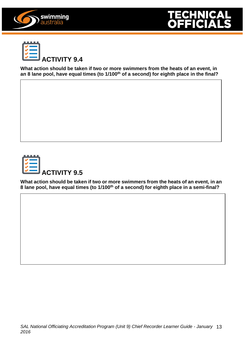





**What action should be taken if two or more swimmers from the heats of an event, in an 8 lane pool, have equal times (to 1/100th of a second) for eighth place in the final?**



**What action should be taken if two or more swimmers from the heats of an event, in an 8 lane pool, have equal times (to 1/100th of a second) for eighth place in a semi-final?**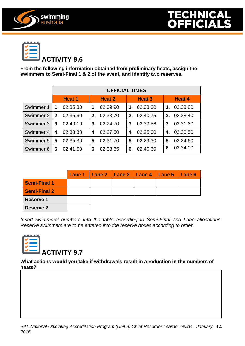





**From the following information obtained from preliminary heats, assign the swimmers to Semi-Final 1 & 2 of the event, and identify two reserves.**

|           | <b>OFFICIAL TIMES</b>   |             |               |             |  |  |  |
|-----------|-------------------------|-------------|---------------|-------------|--|--|--|
|           | <b>Heat 1</b>           | Heat 2      | <b>Heat 3</b> | Heat 4      |  |  |  |
|           | Swimmer 1   1. 02.35.30 | 1. 02.39.90 | 1. 02.33.30   | 1. 02.33.80 |  |  |  |
|           | Swimmer 2   2, 02.35.60 | 2. 02.33.70 | 2. 02.40.75   | 2. 02.28.40 |  |  |  |
| Swimmer 3 | 3. 02.40.10             | 3. 02.24.70 | 3. 02.39.56   | 3. 02.31.60 |  |  |  |
| Swimmer 4 | 4. 02.38.88             | 4. 02.27.50 | 4. 02.25.00   | 4. 02.30.50 |  |  |  |
| Swimmer 5 | 5. 02.35.30             | 5. 02.31.70 | 5. 02.29.30   | 5. 02.24.60 |  |  |  |
| Swimmer 6 | 6. 02.41.50             | 6. 02.38.85 | 6. 02.40.60   | 6. 02.34.00 |  |  |  |

|                     |  |  | Lane 1   Lane 2   Lane 3   Lane 4   Lane 5   Lane 6 |  |
|---------------------|--|--|-----------------------------------------------------|--|
| <b>Semi-Final 1</b> |  |  |                                                     |  |
| <b>Semi-Final 2</b> |  |  |                                                     |  |
| <b>Reserve 1</b>    |  |  |                                                     |  |
| <b>Reserve 2</b>    |  |  |                                                     |  |

*Insert swimmers' numbers into the table according to Semi-Final and Lane allocations. Reserve swimmers are to be entered into the reserve boxes according to order.*



**What actions would you take if withdrawals result in a reduction in the numbers of heats?**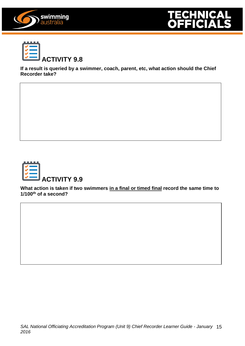





**If a result is queried by a swimmer, coach, parent, etc, what action should the Chief Recorder take?**



**What action is taken if two swimmers in a final or timed final record the same time to 1/100th of a second?**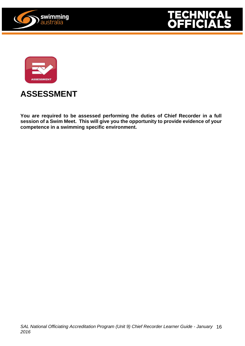





### **ASSESSMENT**

**You are required to be assessed performing the duties of Chief Recorder in a full session of a Swim Meet. This will give you the opportunity to provide evidence of your competence in a swimming specific environment.**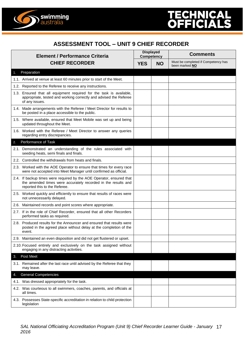

### **ASSESSMENT TOOL – UNIT 9 CHIEF RECORDER**

|    | <b>Element / Performance Criteria</b>                                                                                                                                  |            | <b>Displayed</b><br><b>Competency</b> | <b>Comments</b>                                       |
|----|------------------------------------------------------------------------------------------------------------------------------------------------------------------------|------------|---------------------------------------|-------------------------------------------------------|
|    | <b>CHIEF RECORDER</b>                                                                                                                                                  | <b>YES</b> | <b>NO</b>                             | Must be completed if Competency has<br>been marked NO |
| 1. | Preparation                                                                                                                                                            |            |                                       |                                                       |
|    | 1.1. Arrived at venue at least 60 minutes prior to start of the Meet.                                                                                                  |            |                                       |                                                       |
|    | 1.2. Reported to the Referee to receive any instructions.                                                                                                              |            |                                       |                                                       |
|    | 1.3. Ensured that all equipment required for the task is available,<br>appropriate, tested and working correctly and advised the Referee<br>of any issues.             |            |                                       |                                                       |
|    | 1.4. Made arrangements with the Referee / Meet Director for results to<br>be posted in a place accessible to the public.                                               |            |                                       |                                                       |
|    | 1.5. Where available, ensured that Meet Mobile was set up and being<br>updated throughout the Meet.                                                                    |            |                                       |                                                       |
|    | 1.6. Worked with the Referee / Meet Director to answer any queries<br>regarding entry discrepancies.                                                                   |            |                                       |                                                       |
| 2. | Performance of Task                                                                                                                                                    |            |                                       |                                                       |
|    | 2.1. Demonstrated an understanding of the rules associated with<br>seeding heats, semi finals and finals.                                                              |            |                                       |                                                       |
|    | 2.2. Controlled the withdrawals from heats and finals.                                                                                                                 |            |                                       |                                                       |
|    | 2.3. Worked with the AOE Operator to ensure that times for every race<br>were not accepted into Meet Manager until confirmed as official.                              |            |                                       |                                                       |
|    | 2.4. If backup times were required by the AOE Operator, ensured that<br>the amended times were accurately recorded in the results and<br>reported this to the Referee. |            |                                       |                                                       |
|    | 2.5. Worked quickly and efficiently to ensure that results of races were<br>not unnecessarily delayed.                                                                 |            |                                       |                                                       |
|    | 2.6. Maintained records and point scores where appropriate.                                                                                                            |            |                                       |                                                       |
|    | 2.7. If in the role of Chief Recorder, ensured that all other Recorders<br>performed tasks as required.                                                                |            |                                       |                                                       |
|    | 2.8. Produced results for the Announcer and ensured that results were<br>posted in the agreed place without delay at the completion of the<br>event.                   |            |                                       |                                                       |
|    | 2.9. Maintained an even disposition and did not get flustered or upset.                                                                                                |            |                                       |                                                       |
|    | 2.10. Focused entirely and exclusively on the task assigned without<br>engaging in any distracting activities.                                                         |            |                                       |                                                       |
| 3. | Post Meet                                                                                                                                                              |            |                                       |                                                       |
|    | 3.1. Remained after the last race until advised by the Referee that they<br>may leave.                                                                                 |            |                                       |                                                       |
| 4. | General Competencies                                                                                                                                                   |            |                                       |                                                       |
|    | 4.1. Was dressed appropriately for the task.                                                                                                                           |            |                                       |                                                       |
|    | 4.2. Was courteous to all swimmers, coaches, parents, and officials at<br>all times.                                                                                   |            |                                       |                                                       |
|    | 4.3. Possesses State-specific accreditation in relation to child protection<br>legislation                                                                             |            |                                       |                                                       |